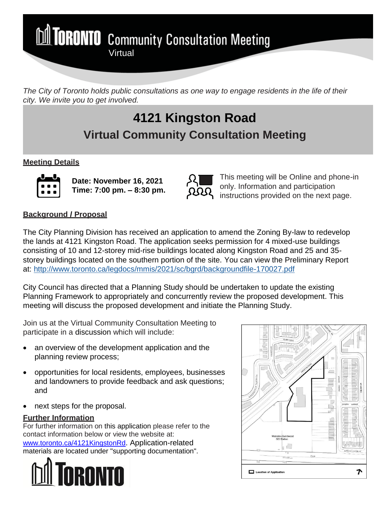**MI TORONTO** Community Consultation Meeting

*The City of Toronto holds public consultations as one way to engage residents in the life of their city. We invite you to get involved.*

# **4121 Kingston Road Virtual Community Consultation Meeting**

## **Meeting Details**



**Date: November 16, 2021 Time: 7:00 pm. – 8:30 pm.**

**Virtual** 



This meeting will be Online and phone-in only. Information and participation instructions provided on the next page.

# **Background / Proposal**

The City Planning Division has received an application to amend the Zoning By-law to redevelop the lands at 4121 Kingston Road. The application seeks permission for 4 mixed-use buildings consisting of 10 and 12-storey mid-rise buildings located along Kingston Road and 25 and 35 storey buildings located on the southern portion of the site. You can view the Preliminary Report at: <http://www.toronto.ca/legdocs/mmis/2021/sc/bgrd/backgroundfile-170027.pdf>

City Council has directed that a Planning Study should be undertaken to update the existing Planning Framework to appropriately and concurrently review the proposed development. This meeting will discuss the proposed development and initiate the Planning Study.

Join us at the Virtual Community Consultation Meeting to participate in a discussion which will include:

- an overview of the development application and the planning review process;
- opportunities for local residents, employees, businesses and landowners to provide feedback and ask questions; and
- next steps for the proposal.

# **Further Information**

For further information on this application please refer to the contact information below or view the website at: [www.toronto.ca/4121KingstonRd](http://www.toronto.ca/4121KingstonRd). Application-related materials are located under "supporting documentation".